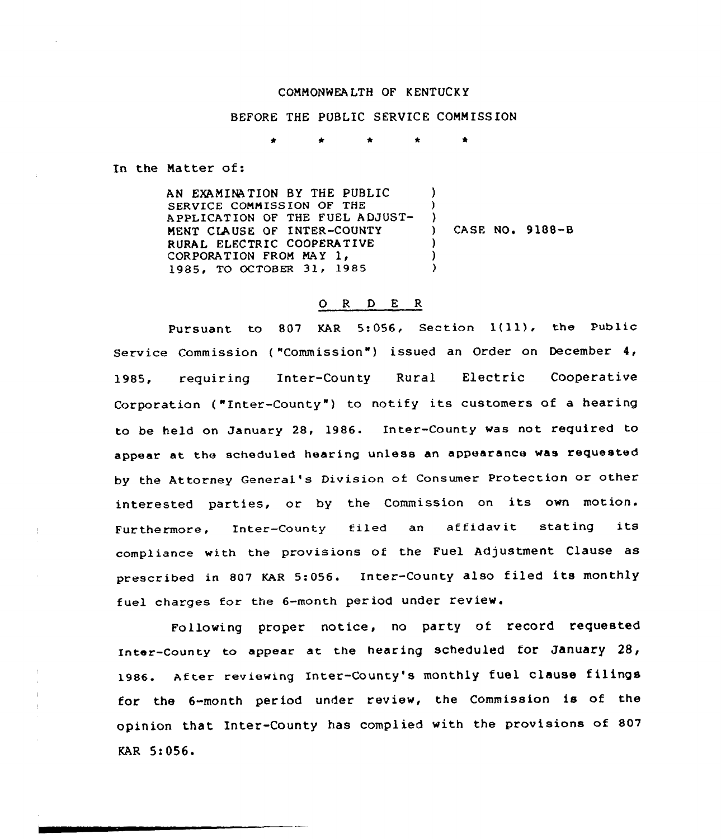## COMMONWEA LTH OF KENTUCK Y

BEFORE THE PUBLIC SERVICE COMMISSION

In the Matter of:

AN EXAMINATION BY THE PUBLIC SERVICE COMMISSION OF THE APPLICATION OF THE FUEL ADJUST-MENT CLAUSE OF INTER-COUNTY RURAL ELECTRIC COOPERATIVE CORPORATION FROM MAY 1, 1985, TO OCTOBER 31, 1985 ) ) ) CASE NO. 9188-8 ) ) )

## 0 <sup>R</sup> <sup>D</sup> E <sup>R</sup>

Pursuant to 807 KAR 5:056, Section 1(11), the Public Service Commission {"Commission") issued an Order on December 4, 1985, requiring Inter-County Rural Electric Cooperative Corporation ("Inter-County") to notify its customers of a hearing to be held on January 28, 1986. Inter-County was not required to appear at the scheduled hearing unless an appearance was requested by the Attorney General 's Division of Consumer Protection or other interested parties, or by the Commission on its own motion. Furthermore, Inter-County filed an affidavit stating its compliance with the provisions of the Fuel Adjustment Clause as prescribed in <sup>807</sup> KAR 5:056. Inter-County also filed its monthly fuel charges for the 6-month period under review.

Following proper notice, no party of record requested Inter-County to appear at the hearing scheduled for January 28, 1986. After reviewing Inter-County's monthly fuel clause filings for the 6-month period under review, the Commission is of the opinion that Inter-County has complied with the provisions of 807 KAR 5:056.